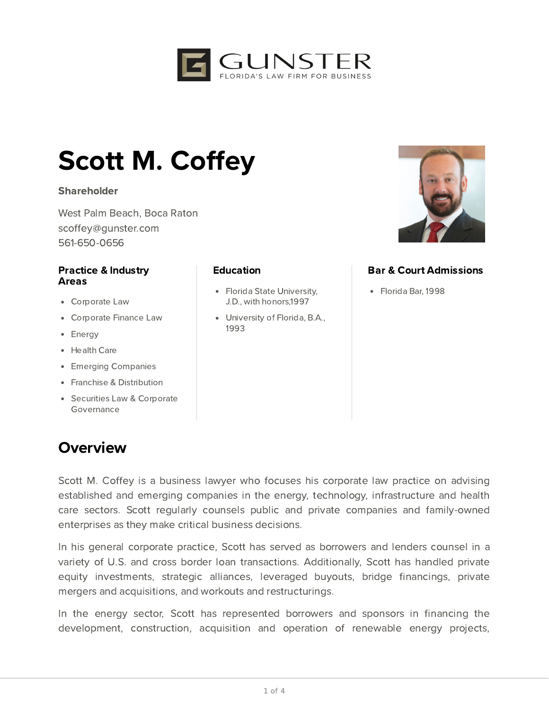

# Scott M. Coffey

#### **Shareholder**

West Palm Beach, Boca Raton scoffey@gunster.com 561-650-0656

#### Practice & Industry Areas

- Corporate Law
- Corporate Finance Law
- Energy
- Health Care
- Emerging Companies
- Franchise & Distribution
- Securities Law & Corporate Governance

## **Overview**

#### **Education**

- Florida State University, J.D., with honors,1997
- University of Florida, B.A., 1993



### Bar & Court Admissions

Florida Bar, 1998

Scott M. Coffey is a business lawyer who focuses his corporate law practice on advising established and emerging companies in the energy, technology, infrastructure and health care sectors. Scott regularly counsels public and private companies and family-owned enterprises as they make critical business decisions.

In his general corporate practice, Scott has served as borrowers and lenders counsel in a variety of U.S. and cross border loan transactions. Additionally, Scott has handled private equity investments, strategic alliances, leveraged buyouts, bridge financings, private mergers and acquisitions, and workouts and restructurings.

In the energy sector, Scott has represented borrowers and sponsors in financing the development, construction, acquisition and operation of renewable energy projects,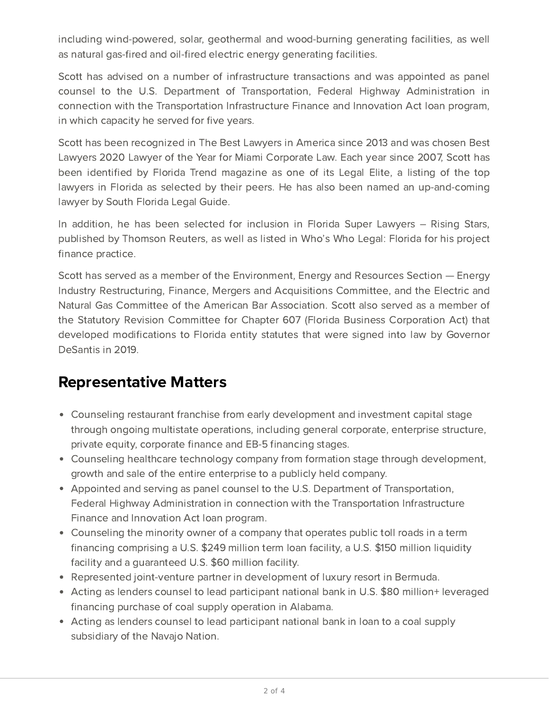including wind-powered, solar, geothermal and wood-burning generating facilities, as well as natural gas-fired and oil-fired electric energy generating facilities.

Scott has advised on a number of infrastructure transactions and was appointed as panel counsel to the U.S. Department of Transportation, Federal Highway Administration in connection with the Transportation Infrastructure Finance and Innovation Act loan program, in which capacity he served for five years.

Scott has been recognized in The Best Lawyers in America since 2013 and was chosen Best Lawyers 2020 Lawyer of the Year for Miami Corporate Law. Each year since 2007, Scott has been identified by Florida Trend magazine as one of its Legal Elite, a listing of the top lawyers in Florida as selected by their peers. He has also been named an up-and-coming lawyer by South Florida Legal Guide.

In addition, he has been selected for inclusion in Florida Super Lawyers – Rising Stars, published by Thomson Reuters, as well as listed in Who's Who Legal: Florida for his project finance practice.

Scott has served as a member of the Environment, Energy and Resources Section — Energy Industry Restructuring, Finance, Mergers and Acquisitions Committee, and the Electric and Natural Gas Committee of the American Bar Association. Scott also served as a member of the Statutory Revision Committee for Chapter 607 (Florida Business Corporation Act) that developed modifications to Florida entity statutes that were signed into law by Governor DeSantis in 2019.

## Representative Matters

- Counseling restaurant franchise from early development and investment capital stage through ongoing multistate operations, including general corporate, enterprise structure, private equity, corporate finance and EB-5 financing stages.
- Counseling healthcare technology company from formation stage through development, growth and sale of the entire enterprise to a publicly held company.
- Appointed and serving as panel counsel to the U.S. Department of Transportation, Federal Highway Administration in connection with the Transportation Infrastructure Finance and Innovation Act loan program.
- Counseling the minority owner of a company that operates public toll roads in a term financing comprising a U.S. \$249 million term loan facility, a U.S. \$150 million liquidity facility and a guaranteed U.S. \$60 million facility.
- Represented joint-venture partner in development of luxury resort in Bermuda.
- Acting as lenders counsel to lead participant national bank in U.S. \$80 million+ leveraged financing purchase of coal supply operation in Alabama.
- Acting as lenders counsel to lead participant national bank in loan to a coal supply subsidiary of the Navajo Nation.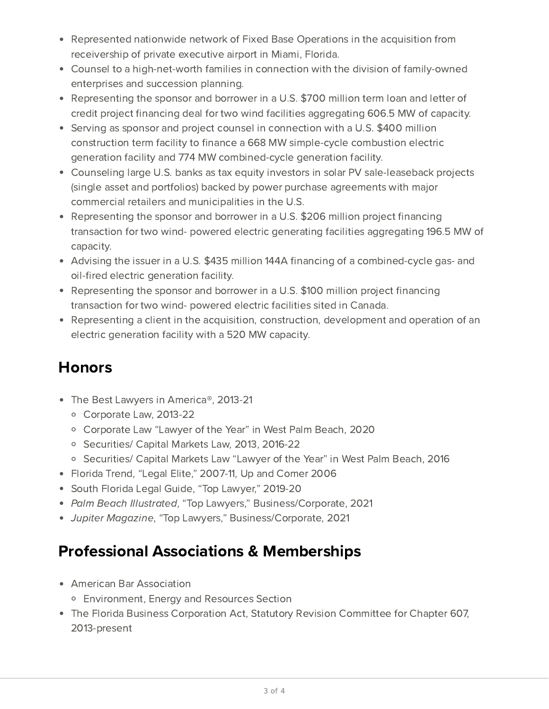- Represented nationwide network of Fixed Base Operations in the acquisition from receivership of private executive airport in Miami, Florida.
- Counsel to a high-net-worth families in connection with the division of family-owned enterprises and succession planning.
- Representing the sponsor and borrower in a U.S. \$700 million term loan and letter of credit project financing deal for two wind facilities aggregating 606.5 MW of capacity.
- Serving as sponsor and project counsel in connection with a U.S. \$400 million construction term facility to finance a 668 MW simple-cycle combustion electric generation facility and 774 MW combined-cycle generation facility.
- Counseling large U.S. banks as tax equity investors in solar PV sale-leaseback projects (single asset and portfolios) backed by power purchase agreements with major commercial retailers and municipalities in the U.S.
- Representing the sponsor and borrower in a U.S. \$206 million project financing transaction for two wind- powered electric generating facilities aggregating 196.5 MW of capacity.
- Advising the issuer in a U.S. \$435 million 144A financing of a combined-cycle gas- and oil-fired electric generation facility.
- Representing the sponsor and borrower in a U.S. \$100 million project financing transaction for two wind- powered electric facilities sited in Canada.
- Representing a client in the acquisition, construction, development and operation of an electric generation facility with a 520 MW capacity.

## **Honors**

- The Best Lawyers in America®, 2013-21
	- Corporate Law, 2013-22
	- Corporate Law "Lawyer of the Year" in West Palm Beach, 2020
	- Securities/ Capital Markets Law, 2013, 2016-22
	- Securities/ Capital Markets Law "Lawyer of the Year" in West Palm Beach, 2016
- Florida Trend, "Legal Elite," 2007-11, Up and Comer 2006
- South Florida Legal Guide, "Top Lawyer," 2019-20
- Palm Beach Illustrated, "Top Lawyers," Business/Corporate, 2021
- Jupiter Magazine, "Top Lawyers," Business/Corporate, 2021

## Professional Associations & Memberships

- American Bar Association
	- Environment, Energy and Resources Section
- The Florida Business Corporation Act, Statutory Revision Committee for Chapter 607, 2013-present